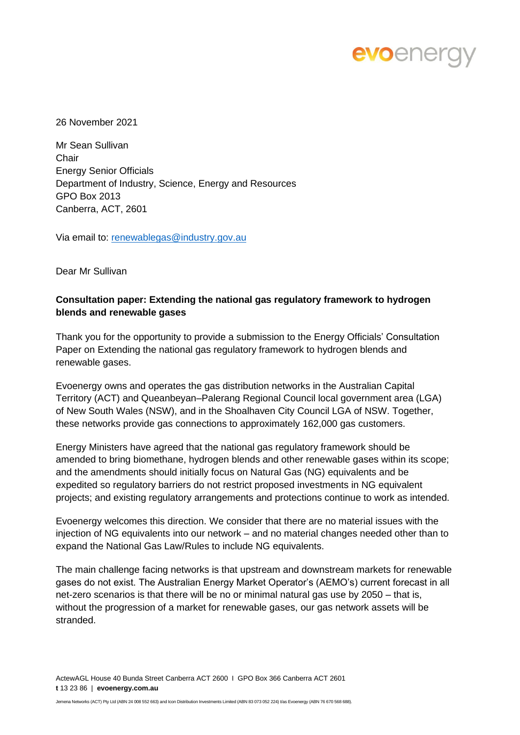# evoenergy

26 November 2021

Mr Sean Sullivan **Chair** Energy Senior Officials Department of Industry, Science, Energy and Resources GPO Box 2013 Canberra, ACT, 2601

Via email to: [renewablegas@industry.gov.au](mailto:renewablegas@industry.gov.au)

Dear Mr Sullivan

### **Consultation paper: Extending the national gas regulatory framework to hydrogen blends and renewable gases**

Thank you for the opportunity to provide a submission to the Energy Officials' Consultation Paper on Extending the national gas regulatory framework to hydrogen blends and renewable gases.

Evoenergy owns and operates the gas distribution networks in the Australian Capital Territory (ACT) and Queanbeyan–Palerang Regional Council local government area (LGA) of New South Wales (NSW), and in the Shoalhaven City Council LGA of NSW. Together, these networks provide gas connections to approximately 162,000 gas customers.

Energy Ministers have agreed that the national gas regulatory framework should be amended to bring biomethane, hydrogen blends and other renewable gases within its scope; and the amendments should initially focus on Natural Gas (NG) equivalents and be expedited so regulatory barriers do not restrict proposed investments in NG equivalent projects; and existing regulatory arrangements and protections continue to work as intended.

Evoenergy welcomes this direction. We consider that there are no material issues with the injection of NG equivalents into our network – and no material changes needed other than to expand the National Gas Law/Rules to include NG equivalents.

The main challenge facing networks is that upstream and downstream markets for renewable gases do not exist. The Australian Energy Market Operator's (AEMO's) current forecast in all net-zero scenarios is that there will be no or minimal natural gas use by 2050 – that is, without the progression of a market for renewable gases, our gas network assets will be stranded.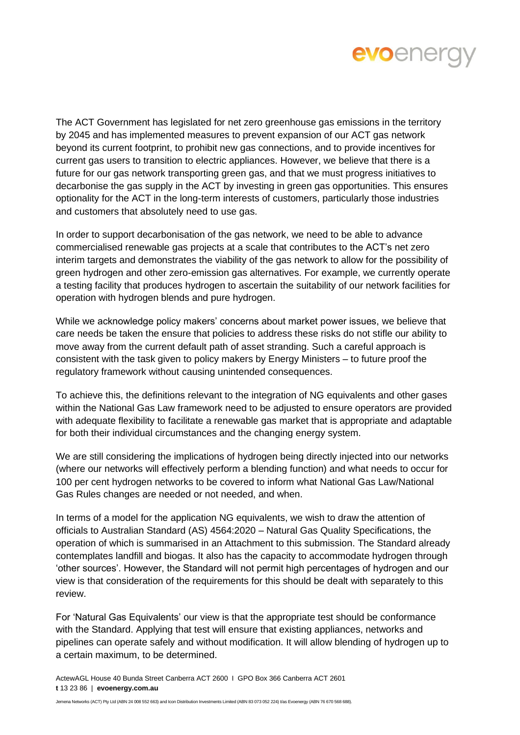

The ACT Government has legislated for net zero greenhouse gas emissions in the territory by 2045 and has implemented measures to prevent expansion of our ACT gas network beyond its current footprint, to prohibit new gas connections, and to provide incentives for current gas users to transition to electric appliances. However, we believe that there is a future for our gas network transporting green gas, and that we must progress initiatives to decarbonise the gas supply in the ACT by investing in green gas opportunities. This ensures optionality for the ACT in the long-term interests of customers, particularly those industries and customers that absolutely need to use gas.

In order to support decarbonisation of the gas network, we need to be able to advance commercialised renewable gas projects at a scale that contributes to the ACT's net zero interim targets and demonstrates the viability of the gas network to allow for the possibility of green hydrogen and other zero-emission gas alternatives. For example, we currently operate a testing facility that produces hydrogen to ascertain the suitability of our network facilities for operation with hydrogen blends and pure hydrogen.

While we acknowledge policy makers' concerns about market power issues, we believe that care needs be taken the ensure that policies to address these risks do not stifle our ability to move away from the current default path of asset stranding. Such a careful approach is consistent with the task given to policy makers by Energy Ministers – to future proof the regulatory framework without causing unintended consequences.

To achieve this, the definitions relevant to the integration of NG equivalents and other gases within the National Gas Law framework need to be adjusted to ensure operators are provided with adequate flexibility to facilitate a renewable gas market that is appropriate and adaptable for both their individual circumstances and the changing energy system.

We are still considering the implications of hydrogen being directly injected into our networks (where our networks will effectively perform a blending function) and what needs to occur for 100 per cent hydrogen networks to be covered to inform what National Gas Law/National Gas Rules changes are needed or not needed, and when.

In terms of a model for the application NG equivalents, we wish to draw the attention of officials to Australian Standard (AS) 4564:2020 – Natural Gas Quality Specifications, the operation of which is summarised in an Attachment to this submission. The Standard already contemplates landfill and biogas. It also has the capacity to accommodate hydrogen through 'other sources'. However, the Standard will not permit high percentages of hydrogen and our view is that consideration of the requirements for this should be dealt with separately to this review.

For 'Natural Gas Equivalents' our view is that the appropriate test should be conformance with the Standard. Applying that test will ensure that existing appliances, networks and pipelines can operate safely and without modification. It will allow blending of hydrogen up to a certain maximum, to be determined.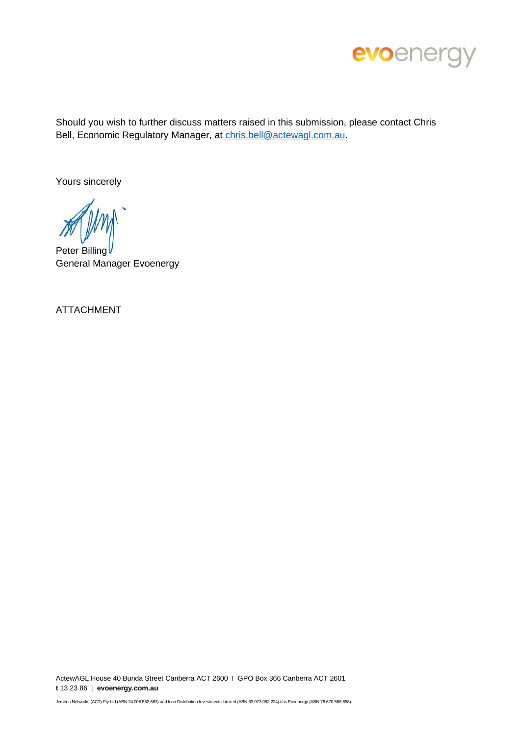

Should you wish to further discuss matters raised in this submission, please contact Chris Bell, Economic Regulatory Manager, at [chris.bell@actewagl.com.au.](mailto:chris.bell@actewagl.com.au)

Yours sincerely

Peter Billing General Manager Evoenergy

ATTACHMENT

ActewAGL House 40 Bunda Street Canberra ACT 2600 I GPO Box 366 Canberra ACT 2601 **t** 13 23 86 | **evoenergy.com.au**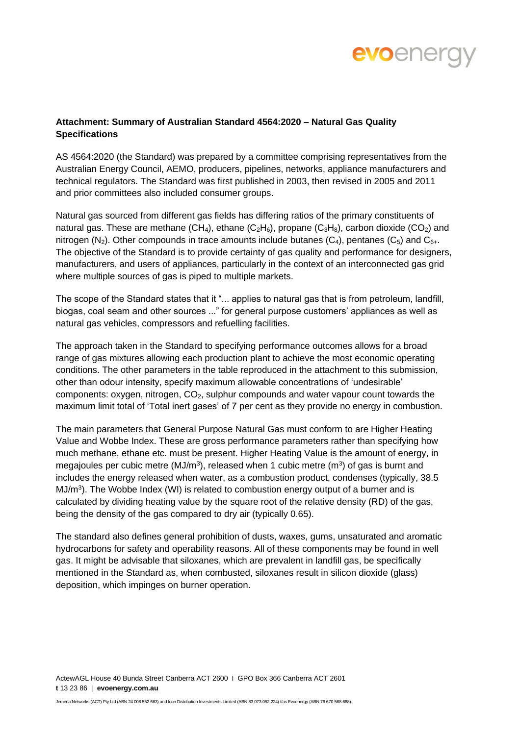

### **Attachment: Summary of Australian Standard 4564:2020 – Natural Gas Quality Specifications**

AS 4564:2020 (the Standard) was prepared by a committee comprising representatives from the Australian Energy Council, AEMO, producers, pipelines, networks, appliance manufacturers and technical regulators. The Standard was first published in 2003, then revised in 2005 and 2011 and prior committees also included consumer groups.

Natural gas sourced from different gas fields has differing ratios of the primary constituents of natural gas. These are methane (CH<sub>4</sub>), ethane (C<sub>2</sub>H<sub>6</sub>), propane (C<sub>3</sub>H<sub>8</sub>), carbon dioxide (CO<sub>2</sub>) and nitrogen (N<sub>2</sub>). Other compounds in trace amounts include butanes (C<sub>4</sub>), pentanes (C<sub>5</sub>) and C<sub>6+</sub>. The objective of the Standard is to provide certainty of gas quality and performance for designers, manufacturers, and users of appliances, particularly in the context of an interconnected gas grid where multiple sources of gas is piped to multiple markets.

The scope of the Standard states that it "... applies to natural gas that is from petroleum, landfill, biogas, coal seam and other sources ..." for general purpose customers' appliances as well as natural gas vehicles, compressors and refuelling facilities.

The approach taken in the Standard to specifying performance outcomes allows for a broad range of gas mixtures allowing each production plant to achieve the most economic operating conditions. The other parameters in the table reproduced in the attachment to this submission, other than odour intensity, specify maximum allowable concentrations of 'undesirable' components: oxygen, nitrogen, CO2, sulphur compounds and water vapour count towards the maximum limit total of 'Total inert gases' of 7 per cent as they provide no energy in combustion.

The main parameters that General Purpose Natural Gas must conform to are Higher Heating Value and Wobbe Index. These are gross performance parameters rather than specifying how much methane, ethane etc. must be present. Higher Heating Value is the amount of energy, in megajoules per cubic metre (MJ/m<sup>3</sup>), released when 1 cubic metre (m<sup>3</sup>) of gas is burnt and includes the energy released when water, as a combustion product, condenses (typically, 38.5 MJ/m<sup>3</sup>). The Wobbe Index (WI) is related to combustion energy output of a burner and is calculated by dividing heating value by the square root of the relative density (RD) of the gas, being the density of the gas compared to dry air (typically 0.65).

The standard also defines general prohibition of dusts, waxes, gums, unsaturated and aromatic hydrocarbons for safety and operability reasons. All of these components may be found in well gas. It might be advisable that siloxanes, which are prevalent in landfill gas, be specifically mentioned in the Standard as, when combusted, siloxanes result in silicon dioxide (glass) deposition, which impinges on burner operation.